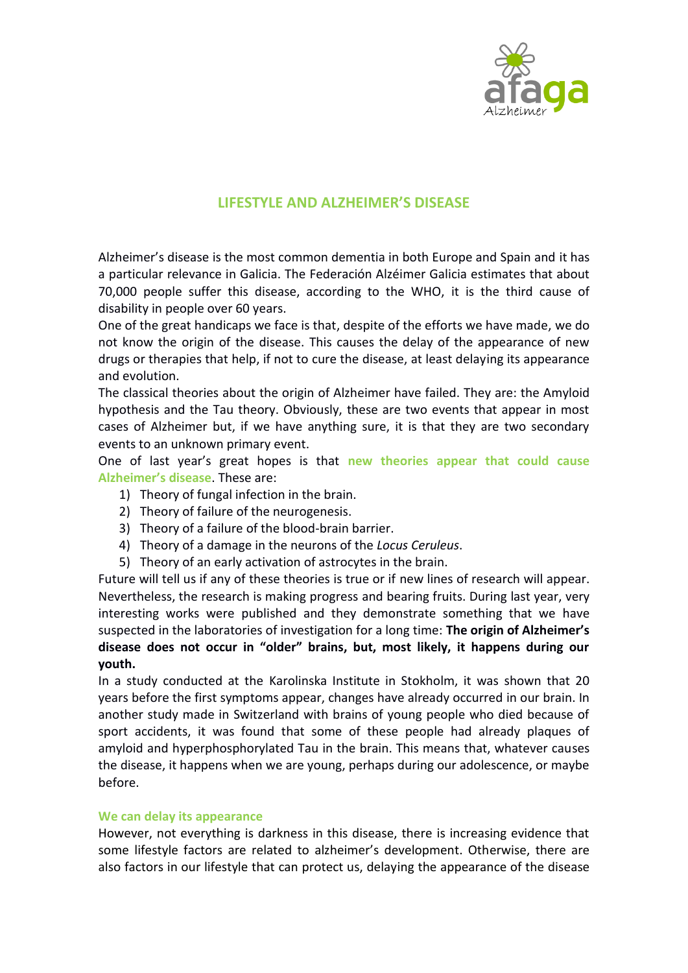

# **LIFESTYLE AND ALZHEIMER'S DISEASE**

Alzheimer's disease is the most common dementia in both Europe and Spain and it has a particular relevance in Galicia. The Federación Alzéimer Galicia estimates that about 70,000 people suffer this disease, according to the WHO, it is the third cause of disability in people over 60 years.

One of the great handicaps we face is that, despite of the efforts we have made, we do not know the origin of the disease. This causes the delay of the appearance of new drugs or therapies that help, if not to cure the disease, at least delaying its appearance and evolution.

The classical theories about the origin of Alzheimer have failed. They are: the Amyloid hypothesis and the Tau theory. Obviously, these are two events that appear in most cases of Alzheimer but, if we have anything sure, it is that they are two secondary events to an unknown primary event.

One of last year's great hopes is that **new theories appear that could cause Alzheimer's disease**. These are:

- 1) Theory of fungal infection in the brain.
- 2) Theory of failure of the neurogenesis.
- 3) Theory of a failure of the blood-brain barrier.
- 4) Theory of a damage in the neurons of the *Locus Ceruleus*.
- 5) Theory of an early activation of astrocytes in the brain.

Future will tell us if any of these theories is true or if new lines of research will appear. Nevertheless, the research is making progress and bearing fruits. During last year, very interesting works were published and they demonstrate something that we have suspected in the laboratories of investigation for a long time: **The origin of Alzheimer's disease does not occur in "older" brains, but, most likely, it happens during our youth.**

In a study conducted at the Karolinska Institute in Stokholm, it was shown that 20 years before the first symptoms appear, changes have already occurred in our brain. In another study made in Switzerland with brains of young people who died because of sport accidents, it was found that some of these people had already plaques of amyloid and hyperphosphorylated Tau in the brain. This means that, whatever causes the disease, it happens when we are young, perhaps during our adolescence, or maybe before.

### **We can delay its appearance**

However, not everything is darkness in this disease, there is increasing evidence that some lifestyle factors are related to alzheimer's development. Otherwise, there are also factors in our lifestyle that can protect us, delaying the appearance of the disease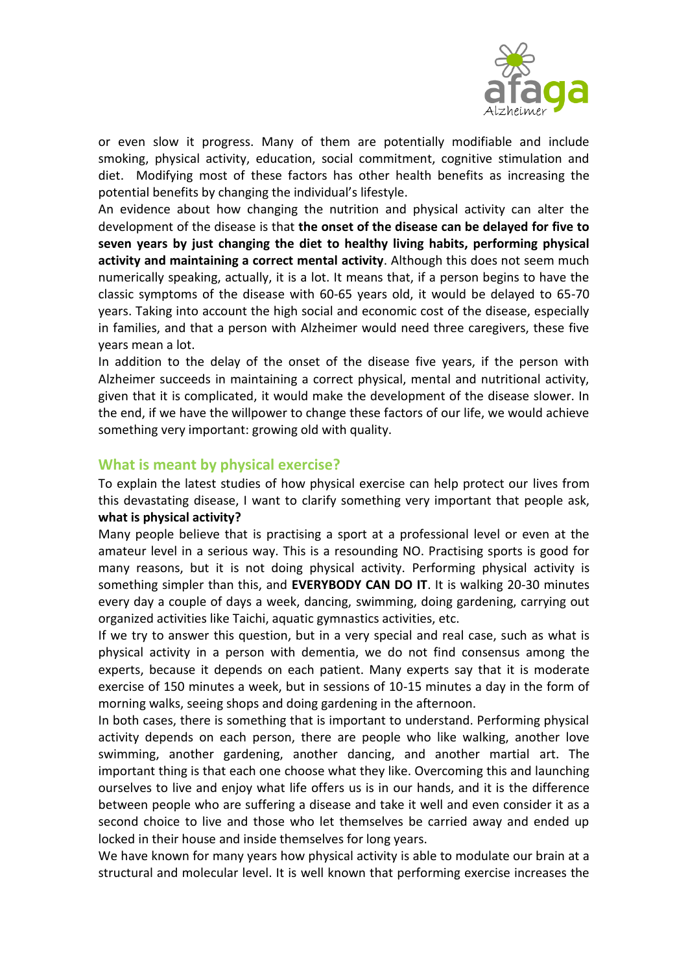

or even slow it progress. Many of them are potentially modifiable and include smoking, physical activity, education, social commitment, cognitive stimulation and diet. Modifying most of these factors has other health benefits as increasing the potential benefits by changing the individual's lifestyle.

An evidence about how changing the nutrition and physical activity can alter the development of the disease is that **the onset of the disease can be delayed for five to seven years by just changing the diet to healthy living habits, performing physical activity and maintaining a correct mental activity**. Although this does not seem much numerically speaking, actually, it is a lot. It means that, if a person begins to have the classic symptoms of the disease with 60-65 years old, it would be delayed to 65-70 years. Taking into account the high social and economic cost of the disease, especially in families, and that a person with Alzheimer would need three caregivers, these five years mean a lot.

In addition to the delay of the onset of the disease five years, if the person with Alzheimer succeeds in maintaining a correct physical, mental and nutritional activity, given that it is complicated, it would make the development of the disease slower. In the end, if we have the willpower to change these factors of our life, we would achieve something very important: growing old with quality.

## **What is meant by physical exercise?**

To explain the latest studies of how physical exercise can help protect our lives from this devastating disease, I want to clarify something very important that people ask, **what is physical activity?**

Many people believe that is practising a sport at a professional level or even at the amateur level in a serious way. This is a resounding NO. Practising sports is good for many reasons, but it is not doing physical activity. Performing physical activity is something simpler than this, and **EVERYBODY CAN DO IT**. It is walking 20-30 minutes every day a couple of days a week, dancing, swimming, doing gardening, carrying out organized activities like Taichi, aquatic gymnastics activities, etc.

If we try to answer this question, but in a very special and real case, such as what is physical activity in a person with dementia, we do not find consensus among the experts, because it depends on each patient. Many experts say that it is moderate exercise of 150 minutes a week, but in sessions of 10-15 minutes a day in the form of morning walks, seeing shops and doing gardening in the afternoon.

In both cases, there is something that is important to understand. Performing physical activity depends on each person, there are people who like walking, another love swimming, another gardening, another dancing, and another martial art. The important thing is that each one choose what they like. Overcoming this and launching ourselves to live and enjoy what life offers us is in our hands, and it is the difference between people who are suffering a disease and take it well and even consider it as a second choice to live and those who let themselves be carried away and ended up locked in their house and inside themselves for long years.

We have known for many years how physical activity is able to modulate our brain at a structural and molecular level. It is well known that performing exercise increases the